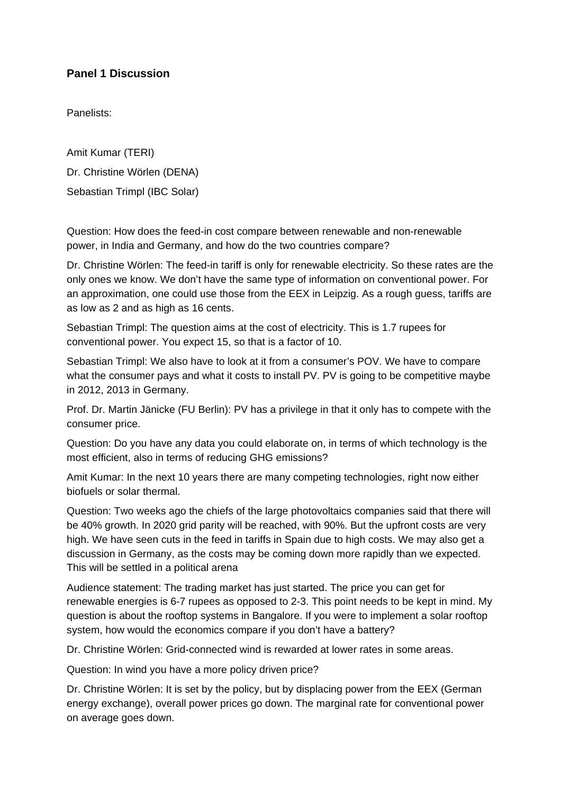## **Panel 1 Discussion**

Panelists:

Amit Kumar (TERI) Dr. Christine Wörlen (DENA) Sebastian Trimpl (IBC Solar)

Question: How does the feed-in cost compare between renewable and non-renewable power, in India and Germany, and how do the two countries compare?

Dr. Christine Wörlen: The feed-in tariff is only for renewable electricity. So these rates are the only ones we know. We don't have the same type of information on conventional power. For an approximation, one could use those from the EEX in Leipzig. As a rough guess, tariffs are as low as 2 and as high as 16 cents.

Sebastian Trimpl: The question aims at the cost of electricity. This is 1.7 rupees for conventional power. You expect 15, so that is a factor of 10.

Sebastian Trimpl: We also have to look at it from a consumer's POV. We have to compare what the consumer pays and what it costs to install PV. PV is going to be competitive maybe in 2012, 2013 in Germany.

Prof. Dr. Martin Jänicke (FU Berlin): PV has a privilege in that it only has to compete with the consumer price.

Question: Do you have any data you could elaborate on, in terms of which technology is the most efficient, also in terms of reducing GHG emissions?

Amit Kumar: In the next 10 years there are many competing technologies, right now either biofuels or solar thermal.

Question: Two weeks ago the chiefs of the large photovoltaics companies said that there will be 40% growth. In 2020 grid parity will be reached, with 90%. But the upfront costs are very high. We have seen cuts in the feed in tariffs in Spain due to high costs. We may also get a discussion in Germany, as the costs may be coming down more rapidly than we expected. This will be settled in a political arena

Audience statement: The trading market has just started. The price you can get for renewable energies is 6-7 rupees as opposed to 2-3. This point needs to be kept in mind. My question is about the rooftop systems in Bangalore. If you were to implement a solar rooftop system, how would the economics compare if you don't have a battery?

Dr. Christine Wörlen: Grid-connected wind is rewarded at lower rates in some areas.

Question: In wind you have a more policy driven price?

Dr. Christine Wörlen: It is set by the policy, but by displacing power from the EEX (German energy exchange), overall power prices go down. The marginal rate for conventional power on average goes down.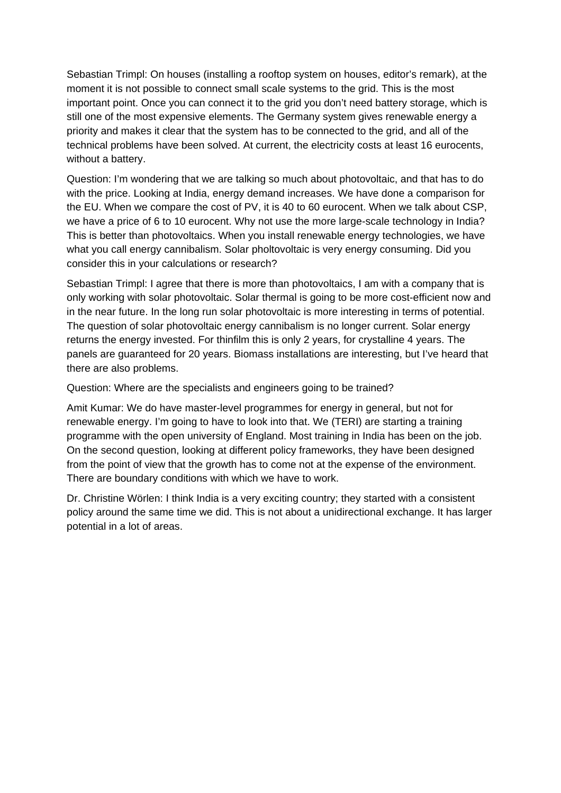Sebastian Trimpl: On houses (installing a rooftop system on houses, editor's remark), at the moment it is not possible to connect small scale systems to the grid. This is the most important point. Once you can connect it to the grid you don't need battery storage, which is still one of the most expensive elements. The Germany system gives renewable energy a priority and makes it clear that the system has to be connected to the grid, and all of the technical problems have been solved. At current, the electricity costs at least 16 eurocents, without a battery.

Question: I'm wondering that we are talking so much about photovoltaic, and that has to do with the price. Looking at India, energy demand increases. We have done a comparison for the EU. When we compare the cost of PV, it is 40 to 60 eurocent. When we talk about CSP, we have a price of 6 to 10 eurocent. Why not use the more large-scale technology in India? This is better than photovoltaics. When you install renewable energy technologies, we have what you call energy cannibalism. Solar pholtovoltaic is very energy consuming. Did you consider this in your calculations or research?

Sebastian Trimpl: I agree that there is more than photovoltaics, I am with a company that is only working with solar photovoltaic. Solar thermal is going to be more cost-efficient now and in the near future. In the long run solar photovoltaic is more interesting in terms of potential. The question of solar photovoltaic energy cannibalism is no longer current. Solar energy returns the energy invested. For thinfilm this is only 2 years, for crystalline 4 years. The panels are guaranteed for 20 years. Biomass installations are interesting, but I've heard that there are also problems.

Question: Where are the specialists and engineers going to be trained?

Amit Kumar: We do have master-level programmes for energy in general, but not for renewable energy. I'm going to have to look into that. We (TERI) are starting a training programme with the open university of England. Most training in India has been on the job. On the second question, looking at different policy frameworks, they have been designed from the point of view that the growth has to come not at the expense of the environment. There are boundary conditions with which we have to work.

Dr. Christine Wörlen: I think India is a very exciting country; they started with a consistent policy around the same time we did. This is not about a unidirectional exchange. It has larger potential in a lot of areas.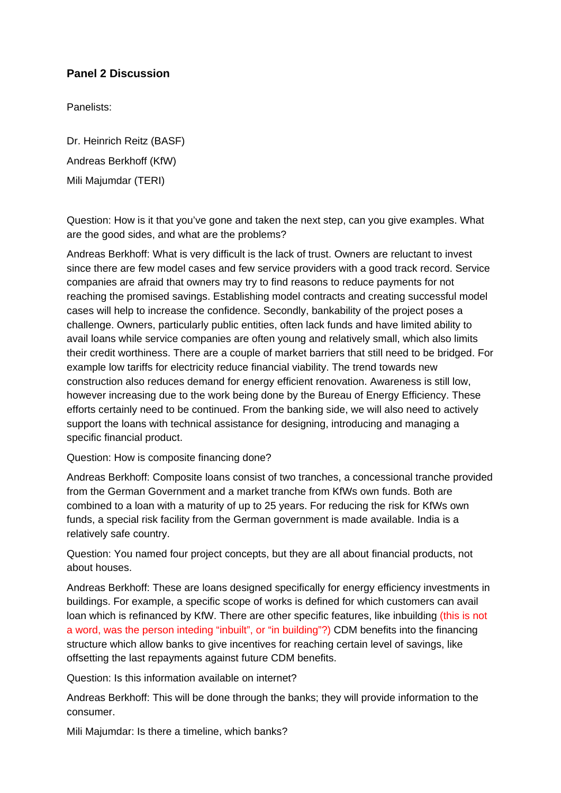## **Panel 2 Discussion**

Panelists:

Dr. Heinrich Reitz (BASF) Andreas Berkhoff (KfW) Mili Majumdar (TERI)

Question: How is it that you've gone and taken the next step, can you give examples. What are the good sides, and what are the problems?

Andreas Berkhoff: What is very difficult is the lack of trust. Owners are reluctant to invest since there are few model cases and few service providers with a good track record. Service companies are afraid that owners may try to find reasons to reduce payments for not reaching the promised savings. Establishing model contracts and creating successful model cases will help to increase the confidence. Secondly, bankability of the project poses a challenge. Owners, particularly public entities, often lack funds and have limited ability to avail loans while service companies are often young and relatively small, which also limits their credit worthiness. There are a couple of market barriers that still need to be bridged. For example low tariffs for electricity reduce financial viability. The trend towards new construction also reduces demand for energy efficient renovation. Awareness is still low, however increasing due to the work being done by the Bureau of Energy Efficiency. These efforts certainly need to be continued. From the banking side, we will also need to actively support the loans with technical assistance for designing, introducing and managing a specific financial product.

Question: How is composite financing done?

Andreas Berkhoff: Composite loans consist of two tranches, a concessional tranche provided from the German Government and a market tranche from KfWs own funds. Both are combined to a loan with a maturity of up to 25 years. For reducing the risk for KfWs own funds, a special risk facility from the German government is made available. India is a relatively safe country.

Question: You named four project concepts, but they are all about financial products, not about houses.

Andreas Berkhoff: These are loans designed specifically for energy efficiency investments in buildings. For example, a specific scope of works is defined for which customers can avail loan which is refinanced by KfW. There are other specific features, like inbuilding (this is not a word, was the person inteding "inbuilt", or "in building"?) CDM benefits into the financing structure which allow banks to give incentives for reaching certain level of savings, like offsetting the last repayments against future CDM benefits.

Question: Is this information available on internet?

Andreas Berkhoff: This will be done through the banks; they will provide information to the consumer.

Mili Majumdar: Is there a timeline, which banks?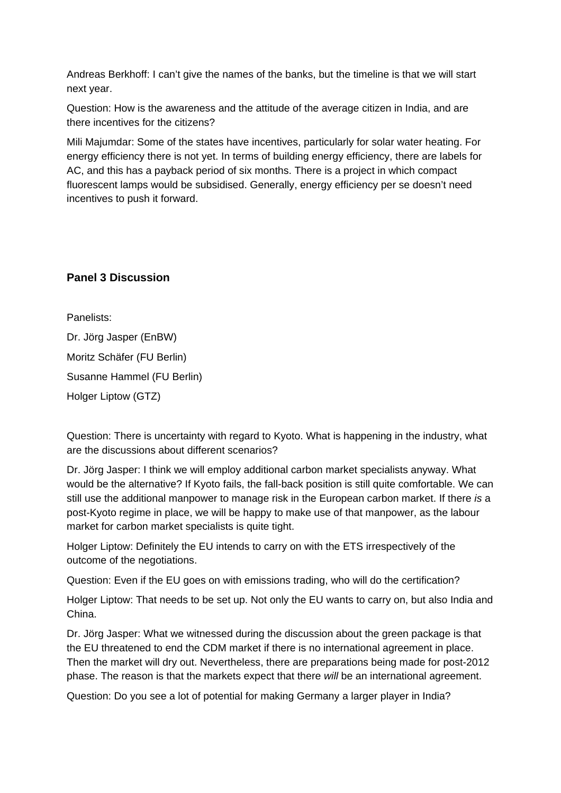Andreas Berkhoff: I can't give the names of the banks, but the timeline is that we will start next year.

Question: How is the awareness and the attitude of the average citizen in India, and are there incentives for the citizens?

Mili Majumdar: Some of the states have incentives, particularly for solar water heating. For energy efficiency there is not yet. In terms of building energy efficiency, there are labels for AC, and this has a payback period of six months. There is a project in which compact fluorescent lamps would be subsidised. Generally, energy efficiency per se doesn't need incentives to push it forward.

## **Panel 3 Discussion**

Panelists: Dr. Jörg Jasper (EnBW) Moritz Schäfer (FU Berlin) Susanne Hammel (FU Berlin) Holger Liptow (GTZ)

Question: There is uncertainty with regard to Kyoto. What is happening in the industry, what are the discussions about different scenarios?

Dr. Jörg Jasper: I think we will employ additional carbon market specialists anyway. What would be the alternative? If Kyoto fails, the fall-back position is still quite comfortable. We can still use the additional manpower to manage risk in the European carbon market. If there *is* a post-Kyoto regime in place, we will be happy to make use of that manpower, as the labour market for carbon market specialists is quite tight.

Holger Liptow: Definitely the EU intends to carry on with the ETS irrespectively of the outcome of the negotiations.

Question: Even if the EU goes on with emissions trading, who will do the certification?

Holger Liptow: That needs to be set up. Not only the EU wants to carry on, but also India and China.

Dr. Jörg Jasper: What we witnessed during the discussion about the green package is that the EU threatened to end the CDM market if there is no international agreement in place. Then the market will dry out. Nevertheless, there are preparations being made for post-2012 phase. The reason is that the markets expect that there *will* be an international agreement.

Question: Do you see a lot of potential for making Germany a larger player in India?